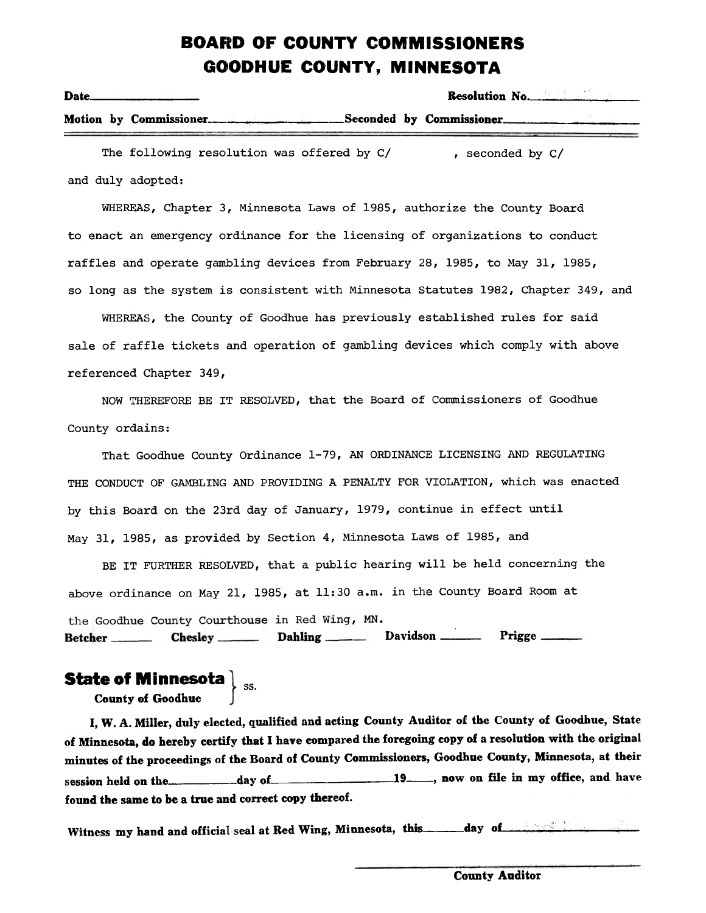## BOARD OF COUNTY COMMISSIONERS GOODHUE COUNTY, MINNESOTA

| Date |                                                  |  | Resolution No. |  |
|------|--------------------------------------------------|--|----------------|--|
|      | Motion by Commissioner. Seconded by Commissioner |  |                |  |
|      | The following resolution was offered by C/       |  | seconded by C/ |  |

and duly adopted:

WHEREAS, Chapter 3, Minnesota Laws of 1985, authorize the County Board to enact an emergency ordinance for the licensing of organizations to conduct raffles and operate gambling devices from February 28,1985, to May 31,1985, so long as the system is consistent with Minnesota Statutes 1982, Chapter 349, and

WHEREAS, the County of Goodhue has previously established rules for said sale of raffle tickets and operation of gambling devices which comply with above referenced Chapter 349,

NOW THEREFORE BE IT RESOLVED, that the Board of Commissioners of Goodhue County ordains:

That Goodhue County Ordinance 1-79, AN ORDINANCE LICENSING AND REGULATING THE CONDUCT OF GAMBLING AND PROVIDING A PENALTY FOR VIOLATION, which was enacted by this Board on the 23rd day of January, 1979, continue in effect until May 31, 1985, as provided by Section 4, Minnesota Laws of 1985, and

BE IT FURTHER RESOLVED, that a public hearing will be held concerning the above ordinance on May 21, 1985, at 11:30 a.m. in the County Board Room at Davidson . Prigge 

## State of Minnesota  $\big\}$  <sub>ss.</sub>

County of Goodhue

I, W. A. Miller, duly elected, qualified and acting County Auditor of the County of Goodhue, State of Minnesota, do hereby certify that I have compared the foregoing copy of a resolution with the original minutes of the proceedings of the Board of County Commissioners, Goodhne County, Minnesota, at their session held on the day of day of 19 now on file in my office, and have found the same to be a true and correct copy thereof.

Witness my hand and official seal at Red Wing, Minnesota, this day 0

County Auditor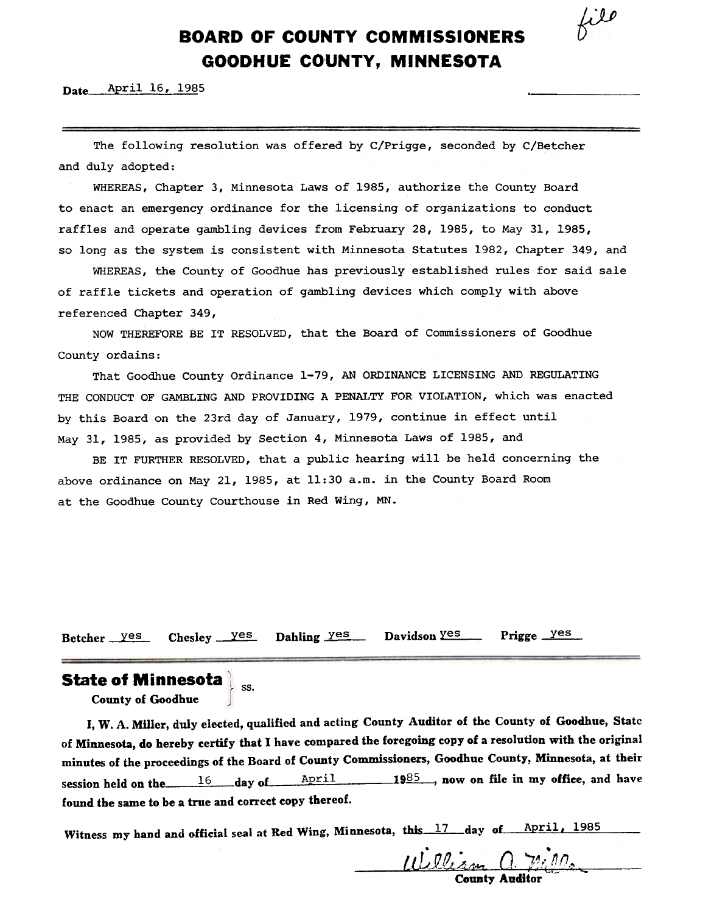$k^{i\ell}$ 

## BOARD OF COUNTY COMMISSIONERS GOODHUE COUNTY, MINNESOTA

Date **April 16, 1985** 

The following resolution was offered by C/Prigge, seconded by C/Betcher and duly adopted:

WHEREAS, Chapter 3, Minnesota Laws of 1985, authorize the County Board to enact an emergency ordinance for the licensing of organizations to conduct raffles and operate gambling devices from February 28,1985, to May 31,1985, so long as the system is consistent with Minnesota statutes 1982, Chapter 349, and

WHEREAS, the County of Goodhue has previously established rules for said sale of raffle tickets and operation of gambling devices which comply with above referenced Chapter 349,

NOW THEREFORE BE IT RESOLVED, that the Board of Commissioners of Goodhue County ordains:

That Goodhue County Ordinance 1-79, AN ORDINANCE LICENSING AND REGULATING THE CONDUCT OF GAMBLING AND PROVIDING A PENALTY FOR VIOLATION, which was enacted by this Board on the 23rd day of January, 1979, continue in effect until May 31,1985, as provided by Section 4, Minnesota Laws of 1985, and

BE IT FURTHER RESOLVED, that a public hearing will be held concerning the above ordinance on May 21,1985, at 11:30 a.m. in the County Board Room at the Goodhue County Courthouse in Red Wing, MN.

Betcher yes Chesley yes Dahling yes Davidson Yes Prigge yes

# State of Minnesota  $\parallel$ <sub>ss.</sub>

County of Goodhue

I, W. A. Miller, duly elected, qualified and acting County Auditor of the County of Goodhue, State of Minnesota, do hereby certify that I have compared the foregoing copy of a resolution with the original minutes of the proceedings of the Board of County Commissioners, Goodhue County, Minnesota, at their session held on the  $\frac{16}{4}$  day of  $\frac{April}{1985}$ , now on file in my office, and have found the same to be a true and correct copy thereof.

Witness my hand and official seal at Red Wing, Minnesota, this 17 day of April, 1985

William C ounty Audito: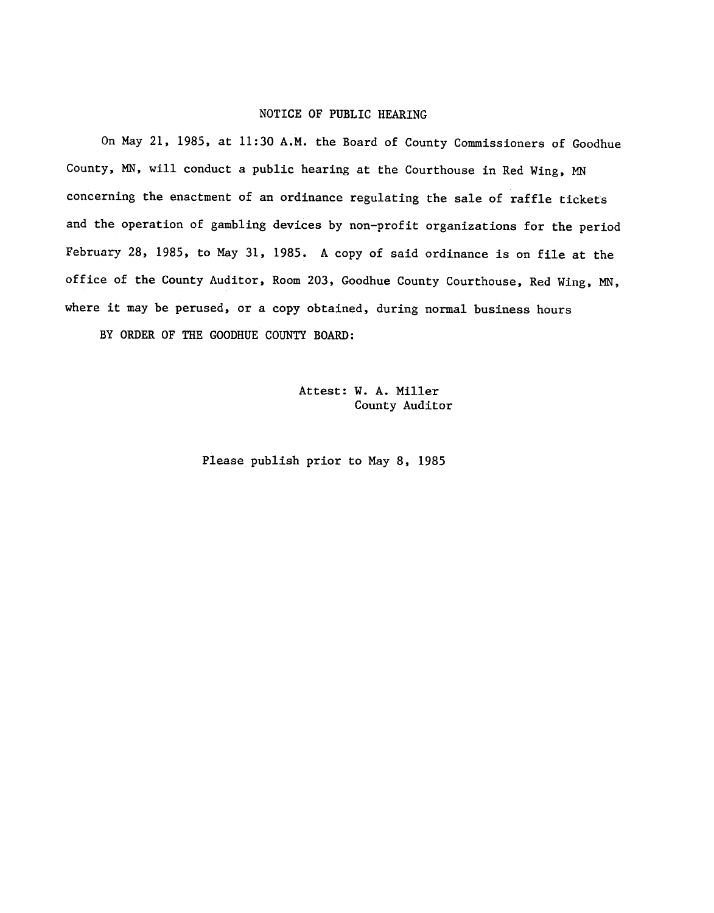#### NOTICE OF PUBLIC HEARING

On May 21, 1985, at 11:30 A.M. the Board of County Commissioners of Goodhue County, MN, will conduct a public hearing at the Courthouse in Red Wing, MN concerning the enactment of an ordinance regulating the sale of raffle tickets and the operation of gambling devices by non-profit organizations for the period February 28, 1985, to May 31, 1985. A copy of said ordinance is on file at the office of the County Auditor, Room 203, Goodhue County Courthouse, Red Wing, MN, where it may be perused, or a copy obtained, during normal business hours

BY ORDER OF THE GOODHUE COUNTY BOARD:

Attest: W. A. Miller County Auditor

Please publish prior to May 8, 1985